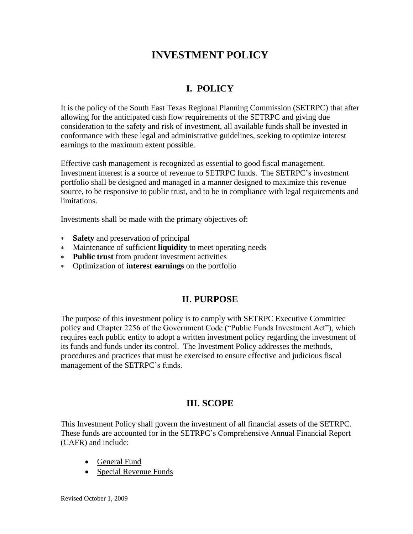# **INVESTMENT POLICY**

# **I. POLICY**

It is the policy of the South East Texas Regional Planning Commission (SETRPC) that after allowing for the anticipated cash flow requirements of the SETRPC and giving due consideration to the safety and risk of investment, all available funds shall be invested in conformance with these legal and administrative guidelines, seeking to optimize interest earnings to the maximum extent possible.

Effective cash management is recognized as essential to good fiscal management. Investment interest is a source of revenue to SETRPC funds. The SETRPC's investment portfolio shall be designed and managed in a manner designed to maximize this revenue source, to be responsive to public trust, and to be in compliance with legal requirements and limitations.

Investments shall be made with the primary objectives of:

- **Safety** and preservation of principal
- Maintenance of sufficient **liquidity** to meet operating needs
- **Public trust** from prudent investment activities
- Optimization of **interest earnings** on the portfolio

## **II. PURPOSE**

The purpose of this investment policy is to comply with SETRPC Executive Committee policy and Chapter 2256 of the Government Code ("Public Funds Investment Act"), which requires each public entity to adopt a written investment policy regarding the investment of its funds and funds under its control. The Investment Policy addresses the methods, procedures and practices that must be exercised to ensure effective and judicious fiscal management of the SETRPC's funds.

## **III. SCOPE**

This Investment Policy shall govern the investment of all financial assets of the SETRPC. These funds are accounted for in the SETRPC's Comprehensive Annual Financial Report (CAFR) and include:

- General Fund
- Special Revenue Funds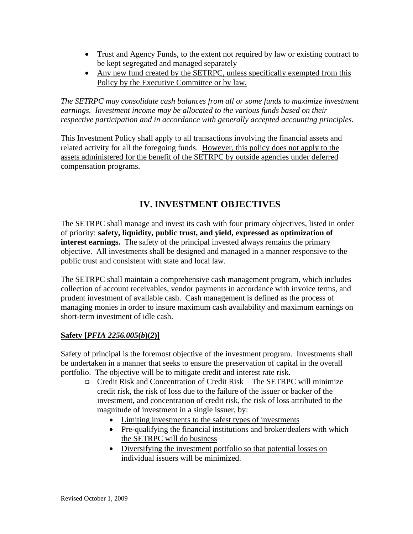- Trust and Agency Funds, to the extent not required by law or existing contract to be kept segregated and managed separately
- Any new fund created by the SETRPC, unless specifically exempted from this Policy by the Executive Committee or by law.

*The SETRPC may consolidate cash balances from all or some funds to maximize investment earnings. Investment income may be allocated to the various funds based on their respective participation and in accordance with generally accepted accounting principles.*

This Investment Policy shall apply to all transactions involving the financial assets and related activity for all the foregoing funds. However, this policy does not apply to the assets administered for the benefit of the SETRPC by outside agencies under deferred compensation programs.

## **IV. INVESTMENT OBJECTIVES**

The SETRPC shall manage and invest its cash with four primary objectives, listed in order of priority: **safety, liquidity, public trust, and yield, expressed as optimization of interest earnings.** The safety of the principal invested always remains the primary objective. All investments shall be designed and managed in a manner responsive to the public trust and consistent with state and local law.

The SETRPC shall maintain a comprehensive cash management program, which includes collection of account receivables, vendor payments in accordance with invoice terms, and prudent investment of available cash. Cash management is defined as the process of managing monies in order to insure maximum cash availability and maximum earnings on short-term investment of idle cash.

## **Safety [***PFIA 2256.005***(***b***)(***2***)]**

Safety of principal is the foremost objective of the investment program. Investments shall be undertaken in a manner that seeks to ensure the preservation of capital in the overall portfolio. The objective will be to mitigate credit and interest rate risk.

- ❑ Credit Risk and Concentration of Credit Risk The SETRPC will minimize credit risk, the risk of loss due to the failure of the issuer or backer of the investment, and concentration of credit risk, the risk of loss attributed to the magnitude of investment in a single issuer, by:
	- Limiting investments to the safest types of investments
	- Pre-qualifying the financial institutions and broker/dealers with which the SETRPC will do business
	- Diversifying the investment portfolio so that potential losses on individual issuers will be minimized.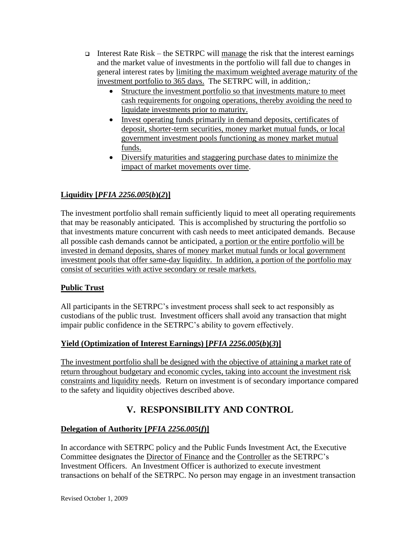- ❑ Interest Rate Risk the SETRPC will manage the risk that the interest earnings and the market value of investments in the portfolio will fall due to changes in general interest rates by limiting the maximum weighted average maturity of the investment portfolio to 365 days. The SETRPC will, in addition,:
	- Structure the investment portfolio so that investments mature to meet cash requirements for ongoing operations, thereby avoiding the need to liquidate investments prior to maturity.
	- Invest operating funds primarily in demand deposits, certificates of deposit, shorter-term securities, money market mutual funds, or local government investment pools functioning as money market mutual funds.
	- Diversify maturities and staggering purchase dates to minimize the impact of market movements over time.

## **Liquidity [***PFIA 2256.005***(***b***)(***2***)]**

The investment portfolio shall remain sufficiently liquid to meet all operating requirements that may be reasonably anticipated. This is accomplished by structuring the portfolio so that investments mature concurrent with cash needs to meet anticipated demands. Because all possible cash demands cannot be anticipated, a portion or the entire portfolio will be invested in demand deposits, shares of money market mutual funds or local government investment pools that offer same-day liquidity. In addition, a portion of the portfolio may consist of securities with active secondary or resale markets.

## **Public Trust**

All participants in the SETRPC's investment process shall seek to act responsibly as custodians of the public trust. Investment officers shall avoid any transaction that might impair public confidence in the SETRPC's ability to govern effectively.

## **Yield (Optimization of Interest Earnings) [***PFIA 2256.005***(***b***)(***3***)]**

The investment portfolio shall be designed with the objective of attaining a market rate of return throughout budgetary and economic cycles, taking into account the investment risk constraints and liquidity needs. Return on investment is of secondary importance compared to the safety and liquidity objectives described above.

# **V. RESPONSIBILITY AND CONTROL**

#### **Delegation of Authority [***PFIA 2256.005***(***f***)]**

In accordance with SETRPC policy and the Public Funds Investment Act, the Executive Committee designates the Director of Finance and the Controller as the SETRPC's Investment Officers. An Investment Officer is authorized to execute investment transactions on behalf of the SETRPC. No person may engage in an investment transaction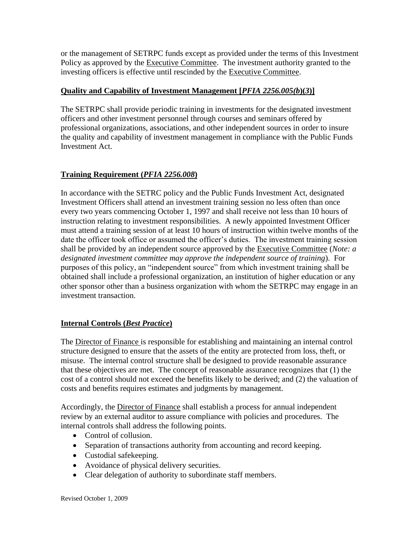or the management of SETRPC funds except as provided under the terms of this Investment Policy as approved by the Executive Committee. The investment authority granted to the investing officers is effective until rescinded by the Executive Committee.

### **Quality and Capability of Investment Management [***PFIA 2256.005(b***)(***3***)]**

The SETRPC shall provide periodic training in investments for the designated investment officers and other investment personnel through courses and seminars offered by professional organizations, associations, and other independent sources in order to insure the quality and capability of investment management in compliance with the Public Funds Investment Act.

## **Training Requirement (***PFIA 2256.008***)**

In accordance with the SETRC policy and the Public Funds Investment Act, designated Investment Officers shall attend an investment training session no less often than once every two years commencing October 1, 1997 and shall receive not less than 10 hours of instruction relating to investment responsibilities. A newly appointed Investment Officer must attend a training session of at least 10 hours of instruction within twelve months of the date the officer took office or assumed the officer's duties. The investment training session shall be provided by an independent source approved by the Executive Committee (*Note: a designated investment committee may approve the independent source of training*). For purposes of this policy, an "independent source" from which investment training shall be obtained shall include a professional organization, an institution of higher education or any other sponsor other than a business organization with whom the SETRPC may engage in an investment transaction.

## **Internal Controls (***Best Practice***)**

The Director of Finance is responsible for establishing and maintaining an internal control structure designed to ensure that the assets of the entity are protected from loss, theft, or misuse. The internal control structure shall be designed to provide reasonable assurance that these objectives are met. The concept of reasonable assurance recognizes that (1) the cost of a control should not exceed the benefits likely to be derived; and (2) the valuation of costs and benefits requires estimates and judgments by management.

Accordingly, the Director of Finance shall establish a process for annual independent review by an external auditor to assure compliance with policies and procedures. The internal controls shall address the following points.

- Control of collusion.
- Separation of transactions authority from accounting and record keeping.
- Custodial safekeeping.
- Avoidance of physical delivery securities.
- Clear delegation of authority to subordinate staff members.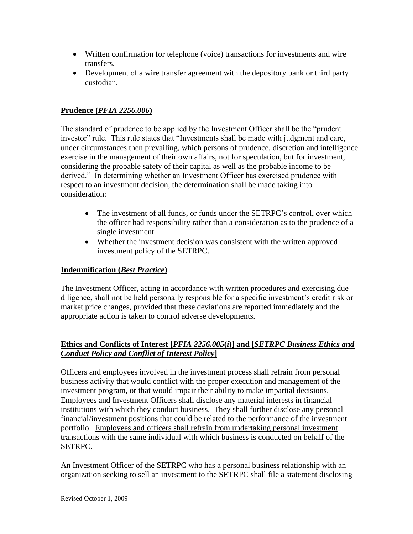- Written confirmation for telephone (voice) transactions for investments and wire transfers.
- Development of a wire transfer agreement with the depository bank or third party custodian.

#### **Prudence (***PFIA 2256.006***)**

The standard of prudence to be applied by the Investment Officer shall be the "prudent investor" rule. This rule states that "Investments shall be made with judgment and care, under circumstances then prevailing, which persons of prudence, discretion and intelligence exercise in the management of their own affairs, not for speculation, but for investment, considering the probable safety of their capital as well as the probable income to be derived." In determining whether an Investment Officer has exercised prudence with respect to an investment decision, the determination shall be made taking into consideration:

- The investment of all funds, or funds under the SETRPC's control, over which the officer had responsibility rather than a consideration as to the prudence of a single investment.
- Whether the investment decision was consistent with the written approved investment policy of the SETRPC.

#### **Indemnification (***Best Practice***)**

The Investment Officer, acting in accordance with written procedures and exercising due diligence, shall not be held personally responsible for a specific investment's credit risk or market price changes, provided that these deviations are reported immediately and the appropriate action is taken to control adverse developments.

#### **Ethics and Conflicts of Interest [***PFIA 2256.005***(***i***)] and [***SETRPC Business Ethics and Conduct Policy and Conflict of Interest Policy***]**

Officers and employees involved in the investment process shall refrain from personal business activity that would conflict with the proper execution and management of the investment program, or that would impair their ability to make impartial decisions. Employees and Investment Officers shall disclose any material interests in financial institutions with which they conduct business. They shall further disclose any personal financial/investment positions that could be related to the performance of the investment portfolio. Employees and officers shall refrain from undertaking personal investment transactions with the same individual with which business is conducted on behalf of the SETRPC.

An Investment Officer of the SETRPC who has a personal business relationship with an organization seeking to sell an investment to the SETRPC shall file a statement disclosing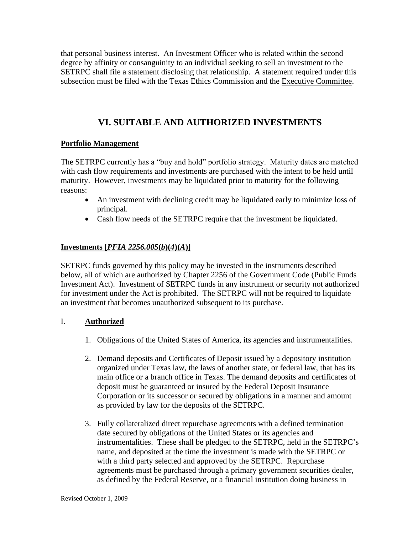that personal business interest. An Investment Officer who is related within the second degree by affinity or consanguinity to an individual seeking to sell an investment to the SETRPC shall file a statement disclosing that relationship. A statement required under this subsection must be filed with the Texas Ethics Commission and the Executive Committee.

## **VI. SUITABLE AND AUTHORIZED INVESTMENTS**

#### **Portfolio Management**

The SETRPC currently has a "buy and hold" portfolio strategy. Maturity dates are matched with cash flow requirements and investments are purchased with the intent to be held until maturity. However, investments may be liquidated prior to maturity for the following reasons:

- An investment with declining credit may be liquidated early to minimize loss of principal.
- Cash flow needs of the SETRPC require that the investment be liquidated.

### **Investments [***PFIA 2256.005***(***b***)(***4***)(***A***)]**

SETRPC funds governed by this policy may be invested in the instruments described below, all of which are authorized by Chapter 2256 of the Government Code (Public Funds Investment Act). Investment of SETRPC funds in any instrument or security not authorized for investment under the Act is prohibited. The SETRPC will not be required to liquidate an investment that becomes unauthorized subsequent to its purchase.

#### I. **Authorized**

- 1. Obligations of the United States of America, its agencies and instrumentalities.
- 2. Demand deposits and Certificates of Deposit issued by a depository institution organized under Texas law, the laws of another state, or federal law, that has its main office or a branch office in Texas. The demand deposits and certificates of deposit must be guaranteed or insured by the Federal Deposit Insurance Corporation or its successor or secured by obligations in a manner and amount as provided by law for the deposits of the SETRPC.
- 3. Fully collateralized direct repurchase agreements with a defined termination date secured by obligations of the United States or its agencies and instrumentalities. These shall be pledged to the SETRPC, held in the SETRPC's name, and deposited at the time the investment is made with the SETRPC or with a third party selected and approved by the SETRPC. Repurchase agreements must be purchased through a primary government securities dealer, as defined by the Federal Reserve, or a financial institution doing business in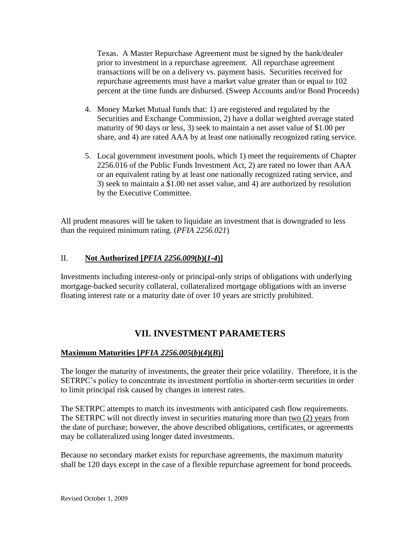Texas. A Master Repurchase Agreement must be signed by the bank/dealer prior to investment in a repurchase agreement. All repurchase agreement transactions will be on a delivery vs. payment basis. Securities received for repurchase agreements must have a market value greater than or equal to 102 percent at the time funds are disbursed. (Sweep Accounts and/or Bond Proceeds)

- 4. Money Market Mutual funds that: 1) are registered and regulated by the Securities and Exchange Commission, 2) have a dollar weighted average stated maturity of 90 days or less, 3) seek to maintain a net asset value of \$1.00 per share, and 4) are rated AAA by at least one nationally recognized rating service.
- 5. Local government investment pools, which 1) meet the requirements of Chapter 2256.016 of the Public Funds Investment Act, 2) are rated no lower than AAA or an equivalent rating by at least one nationally recognized rating service, and 3) seek to maintain a \$1.00 net asset value, and 4) are authorized by resolution by the Executive Committee.

All prudent measures will be taken to liquidate an investment that is downgraded to less than the required minimum rating. (*PFIA 2256.021*)

### II. **Not Authorized [***PFIA 2256.009***(***b***)(***1-4***)]**

Investments including interest-only or principal-only strips of obligations with underlying mortgage-backed security collateral, collateralized mortgage obligations with an inverse floating interest rate or a maturity date of over 10 years are strictly prohibited.

## **VII. INVESTMENT PARAMETERS**

## **Maximum Maturities [***PFIA 2256.005***(***b***)(***4***)(***B***)]**

The longer the maturity of investments, the greater their price volatility. Therefore, it is the SETRPC's policy to concentrate its investment portfolio in shorter-term securities in order to limit principal risk caused by changes in interest rates.

The SETRPC attempts to match its investments with anticipated cash flow requirements. The SETRPC will not directly invest in securities maturing more than two (2) years from the date of purchase; however, the above described obligations, certificates, or agreements may be collateralized using longer dated investments.

Because no secondary market exists for repurchase agreements, the maximum maturity shall be 120 days except in the case of a flexible repurchase agreement for bond proceeds.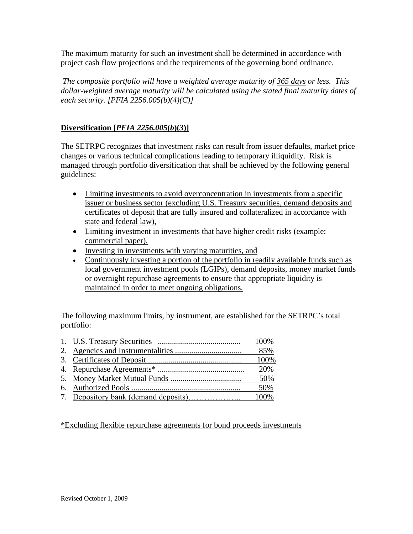The maximum maturity for such an investment shall be determined in accordance with project cash flow projections and the requirements of the governing bond ordinance.

*The composite portfolio will have a weighted average maturity of 365 days or less. This dollar-weighted average maturity will be calculated using the stated final maturity dates of each security. [PFIA 2256.005(b)(4)(C)]*

## **Diversification [***PFIA 2256.005***(***b***)(***3***)]**

The SETRPC recognizes that investment risks can result from issuer defaults, market price changes or various technical complications leading to temporary illiquidity. Risk is managed through portfolio diversification that shall be achieved by the following general guidelines:

- Limiting investments to avoid overconcentration in investments from a specific issuer or business sector (excluding U.S. Treasury securities, demand deposits and certificates of deposit that are fully insured and collateralized in accordance with state and federal law),
- Limiting investment in investments that have higher credit risks (example: commercial paper),
- Investing in investments with varying maturities, and
- Continuously investing a portion of the portfolio in readily available funds such as local government investment pools (LGIPs), demand deposits, money market funds or overnight repurchase agreements to ensure that appropriate liquidity is maintained in order to meet ongoing obligations.

The following maximum limits, by instrument, are established for the SETRPC's total portfolio:

|  | 100% |
|--|------|
|  | 20%  |
|  | 50%  |
|  | 50%  |
|  |      |

\*Excluding flexible repurchase agreements for bond proceeds investments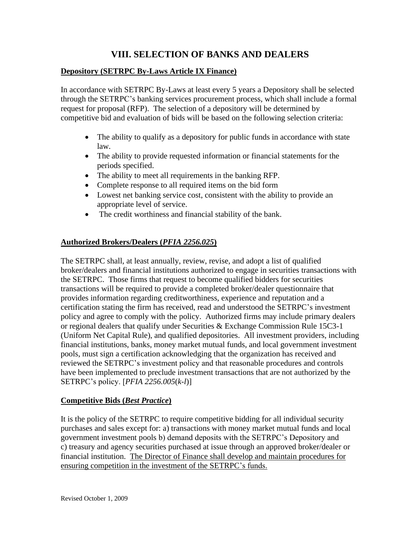## **VIII. SELECTION OF BANKS AND DEALERS**

### **Depository (SETRPC By-Laws Article IX Finance)**

In accordance with SETRPC By-Laws at least every 5 years a Depository shall be selected through the SETRPC's banking services procurement process, which shall include a formal request for proposal (RFP). The selection of a depository will be determined by competitive bid and evaluation of bids will be based on the following selection criteria:

- The ability to qualify as a depository for public funds in accordance with state law.
- The ability to provide requested information or financial statements for the periods specified.
- The ability to meet all requirements in the banking RFP.
- Complete response to all required items on the bid form
- Lowest net banking service cost, consistent with the ability to provide an appropriate level of service.
- The credit worthiness and financial stability of the bank.

### **Authorized Brokers/Dealers (***PFIA 2256.025***)**

The SETRPC shall, at least annually, review, revise, and adopt a list of qualified broker/dealers and financial institutions authorized to engage in securities transactions with the SETRPC. Those firms that request to become qualified bidders for securities transactions will be required to provide a completed broker/dealer questionnaire that provides information regarding creditworthiness, experience and reputation and a certification stating the firm has received, read and understood the SETRPC's investment policy and agree to comply with the policy. Authorized firms may include primary dealers or regional dealers that qualify under Securities & Exchange Commission Rule 15C3-1 (Uniform Net Capital Rule), and qualified depositories. All investment providers, including financial institutions, banks, money market mutual funds, and local government investment pools, must sign a certification acknowledging that the organization has received and reviewed the SETRPC's investment policy and that reasonable procedures and controls have been implemented to preclude investment transactions that are not authorized by the SETRPC's policy. [*PFIA 2256.005*(*k-l*)]

#### **Competitive Bids (***Best Practice***)**

It is the policy of the SETRPC to require competitive bidding for all individual security purchases and sales except for: a) transactions with money market mutual funds and local government investment pools b) demand deposits with the SETRPC's Depository and c) treasury and agency securities purchased at issue through an approved broker/dealer or financial institution. The Director of Finance shall develop and maintain procedures for ensuring competition in the investment of the SETRPC's funds.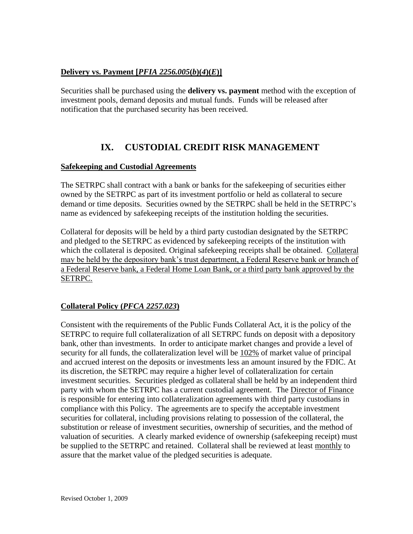### **Delivery vs. Payment [***PFIA 2256.005***(***b***)(***4***)(***E***)]**

Securities shall be purchased using the **delivery vs. payment** method with the exception of investment pools, demand deposits and mutual funds. Funds will be released after notification that the purchased security has been received.

## **IX. CUSTODIAL CREDIT RISK MANAGEMENT**

#### **Safekeeping and Custodial Agreements**

The SETRPC shall contract with a bank or banks for the safekeeping of securities either owned by the SETRPC as part of its investment portfolio or held as collateral to secure demand or time deposits. Securities owned by the SETRPC shall be held in the SETRPC's name as evidenced by safekeeping receipts of the institution holding the securities.

Collateral for deposits will be held by a third party custodian designated by the SETRPC and pledged to the SETRPC as evidenced by safekeeping receipts of the institution with which the collateral is deposited. Original safekeeping receipts shall be obtained. Collateral may be held by the depository bank's trust department, a Federal Reserve bank or branch of a Federal Reserve bank, a Federal Home Loan Bank, or a third party bank approved by the SETRPC.

#### **Collateral Policy (***PFCA 2257.023***)**

Consistent with the requirements of the Public Funds Collateral Act, it is the policy of the SETRPC to require full collateralization of all SETRPC funds on deposit with a depository bank, other than investments. In order to anticipate market changes and provide a level of security for all funds, the collateralization level will be 102% of market value of principal and accrued interest on the deposits or investments less an amount insured by the FDIC. At its discretion, the SETRPC may require a higher level of collateralization for certain investment securities. Securities pledged as collateral shall be held by an independent third party with whom the SETRPC has a current custodial agreement. The Director of Finance is responsible for entering into collateralization agreements with third party custodians in compliance with this Policy. The agreements are to specify the acceptable investment securities for collateral, including provisions relating to possession of the collateral, the substitution or release of investment securities, ownership of securities, and the method of valuation of securities. A clearly marked evidence of ownership (safekeeping receipt) must be supplied to the SETRPC and retained. Collateral shall be reviewed at least monthly to assure that the market value of the pledged securities is adequate.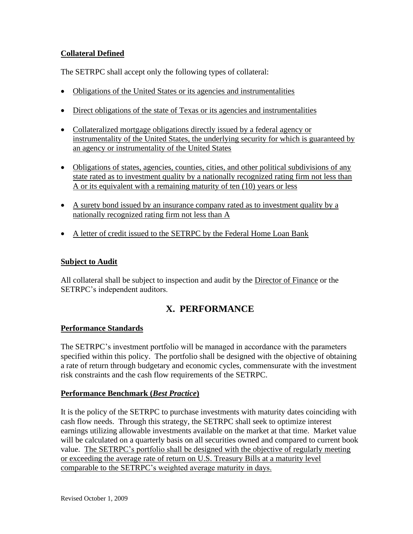## **Collateral Defined**

The SETRPC shall accept only the following types of collateral:

- Obligations of the United States or its agencies and instrumentalities
- Direct obligations of the state of Texas or its agencies and instrumentalities
- Collateralized mortgage obligations directly issued by a federal agency or instrumentality of the United States, the underlying security for which is guaranteed by an agency or instrumentality of the United States
- Obligations of states, agencies, counties, cities, and other political subdivisions of any state rated as to investment quality by a nationally recognized rating firm not less than A or its equivalent with a remaining maturity of ten (10) years or less
- A surety bond issued by an insurance company rated as to investment quality by a nationally recognized rating firm not less than A
- A letter of credit issued to the SETRPC by the Federal Home Loan Bank

#### **Subject to Audit**

All collateral shall be subject to inspection and audit by the Director of Finance or the SETRPC's independent auditors.

# **X. PERFORMANCE**

#### **Performance Standards**

The SETRPC's investment portfolio will be managed in accordance with the parameters specified within this policy. The portfolio shall be designed with the objective of obtaining a rate of return through budgetary and economic cycles, commensurate with the investment risk constraints and the cash flow requirements of the SETRPC.

#### **Performance Benchmark (***Best Practice***)**

It is the policy of the SETRPC to purchase investments with maturity dates coinciding with cash flow needs. Through this strategy, the SETRPC shall seek to optimize interest earnings utilizing allowable investments available on the market at that time. Market value will be calculated on a quarterly basis on all securities owned and compared to current book value. The SETRPC's portfolio shall be designed with the objective of regularly meeting or exceeding the average rate of return on U.S. Treasury Bills at a maturity level comparable to the SETRPC's weighted average maturity in days.